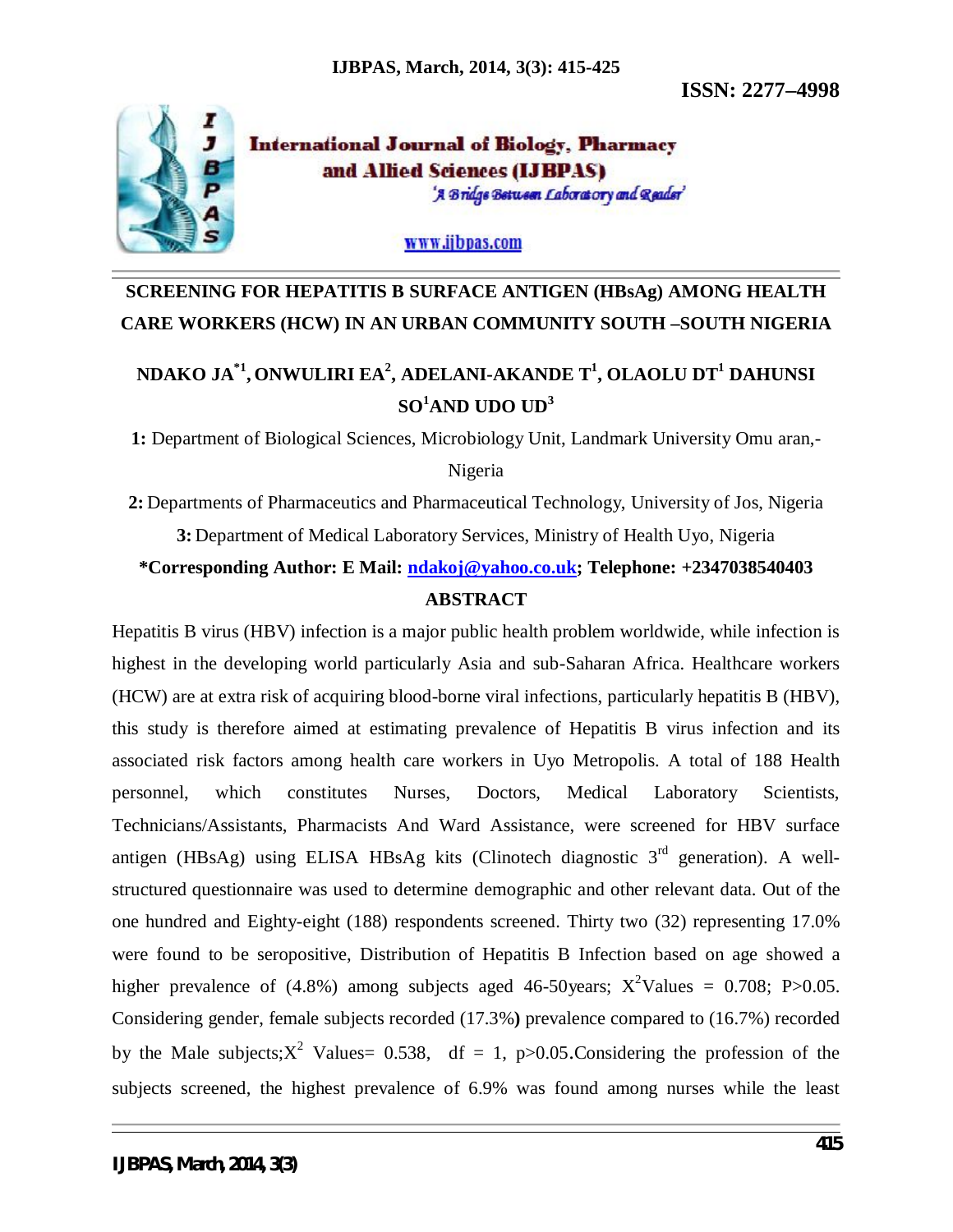

**International Journal of Biology, Pharmacy** and Allied Sciences (IJBPAS) 'A Bridge Between Laboratory and Reader'

www.ijbpas.com

# **SCREENING FOR HEPATITIS B SURFACE ANTIGEN (HBsAg) AMONG HEALTH CARE WORKERS (HCW) IN AN URBAN COMMUNITY SOUTH –SOUTH NIGERIA**

# **NDAKO JA \*1 , ONWULIRI EA 2 , ADELANI-AKANDE T 1 , OLAOLU DT <sup>1</sup> DAHUNSI SO <sup>1</sup>AND UDO UD 3**

**1:** Department of Biological Sciences, Microbiology Unit, Landmark University Omu aran,-

Nigeria

**2:** Departments of Pharmaceutics and Pharmaceutical Technology, University of Jos, Nigeria **3:** Department of Medical Laboratory Services, Ministry of Health Uyo, Nigeria

## **\*Corresponding Author: E Mail: ndakoj@yahoo.co.uk; Telephone: +2347038540403 ABSTRACT**

Hepatitis B virus (HBV) infection is a major public health problem worldwide, while infection is highest in the developing world particularly Asia and sub-Saharan Africa. Healthcare workers (HCW) are at extra risk of acquiring blood-borne viral infections, particularly hepatitis B (HBV), this study is therefore aimed at estimating prevalence of Hepatitis B virus infection and its associated risk factors among health care workers in Uyo Metropolis. A total of 188 Health personnel, which constitutes Nurses, Doctors, Medical Laboratory Scientists, Technicians/Assistants, Pharmacists And Ward Assistance, were screened for HBV surface antigen (HBsAg) using ELISA HBsAg kits (Clinotech diagnostic 3<sup>rd</sup> generation). A wellstructured questionnaire was used to determine demographic and other relevant data. Out of the one hundred and Eighty-eight (188) respondents screened. Thirty two (32) representing 17.0% were found to be seropositive, Distribution of Hepatitis B Infection based on age showed a higher prevalence of (4.8%) among subjects aged 46-50 years;  $X^2$ Values = 0.708; P>0.05. Considering gender, female subjects recorded (17.3%**)** prevalence compared to (16.7%) recorded by the Male subjects;  $X^2$  Values = 0.538, df = 1, p>0.05. Considering the profession of the subjects screened, the highest prevalence of 6.9% was found among nurses while the least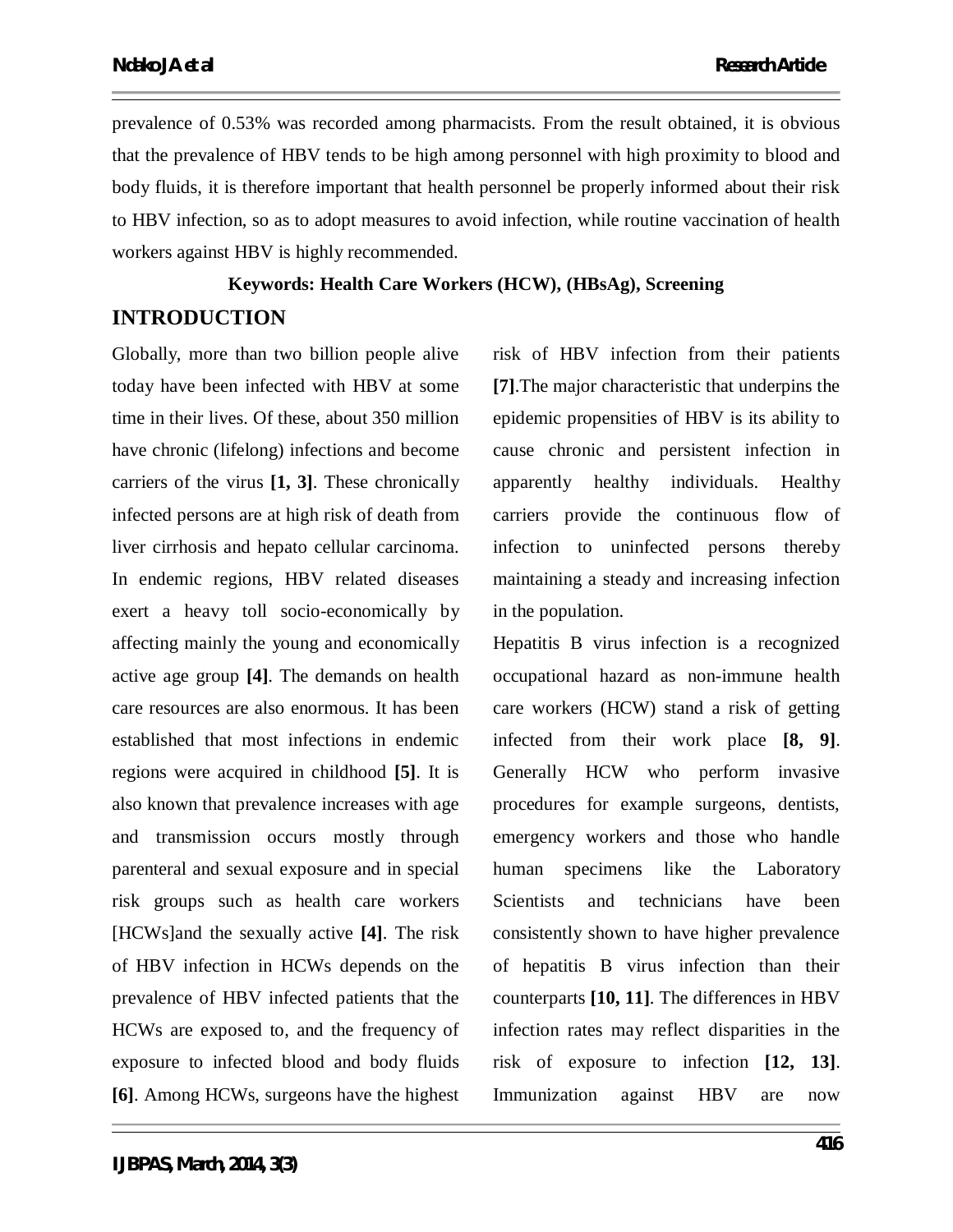prevalence of 0.53% was recorded among pharmacists. From the result obtained, it is obvious that the prevalence of HBV tends to be high among personnel with high proximity to blood and body fluids, it is therefore important that health personnel be properly informed about their risk to HBV infection, so as to adopt measures to avoid infection, while routine vaccination of health workers against HBV is highly recommended.

## **Keywords: Health Care Workers (HCW), (HBsAg), Screening INTRODUCTION**

Globally, more than two billion people alive today have been infected with HBV at some time in their lives. Of these, about 350 million have chronic (lifelong) infections and become carriers of the virus **[1, 3]**. These chronically infected persons are at high risk of death from liver cirrhosis and hepato cellular carcinoma. In endemic regions, HBV related diseases exert a heavy toll socio-economically by affecting mainly the young and economically active age group **[4]**. The demands on health care resources are also enormous. It has been established that most infections in endemic regions were acquired in childhood **[5]**. It is also known that prevalence increases with age and transmission occurs mostly through parenteral and sexual exposure and in special risk groups such as health care workers [HCWs]and the sexually active **[4]**. The risk of HBV infection in HCWs depends on the prevalence of HBV infected patients that the HCWs are exposed to, and the frequency of exposure to infected blood and body fluids **[6]**. Among HCWs, surgeons have the highest

risk of HBV infection from their patients **[7]**.The major characteristic that underpins the epidemic propensities of HBV is its ability to cause chronic and persistent infection in apparently healthy individuals. Healthy carriers provide the continuous flow of infection to uninfected persons thereby maintaining a steady and increasing infection in the population.

Hepatitis B virus infection is a recognized occupational hazard as non-immune health care workers (HCW) stand a risk of getting infected from their work place **[8, 9]**. Generally HCW who perform invasive procedures for example surgeons, dentists, emergency workers and those who handle human specimens like the Laboratory Scientists and technicians have been consistently shown to have higher prevalence of hepatitis B virus infection than their counterparts **[10, 11]**. The differences in HBV infection rates may reflect disparities in the risk of exposure to infection **[12, 13]**. Immunization against HBV are now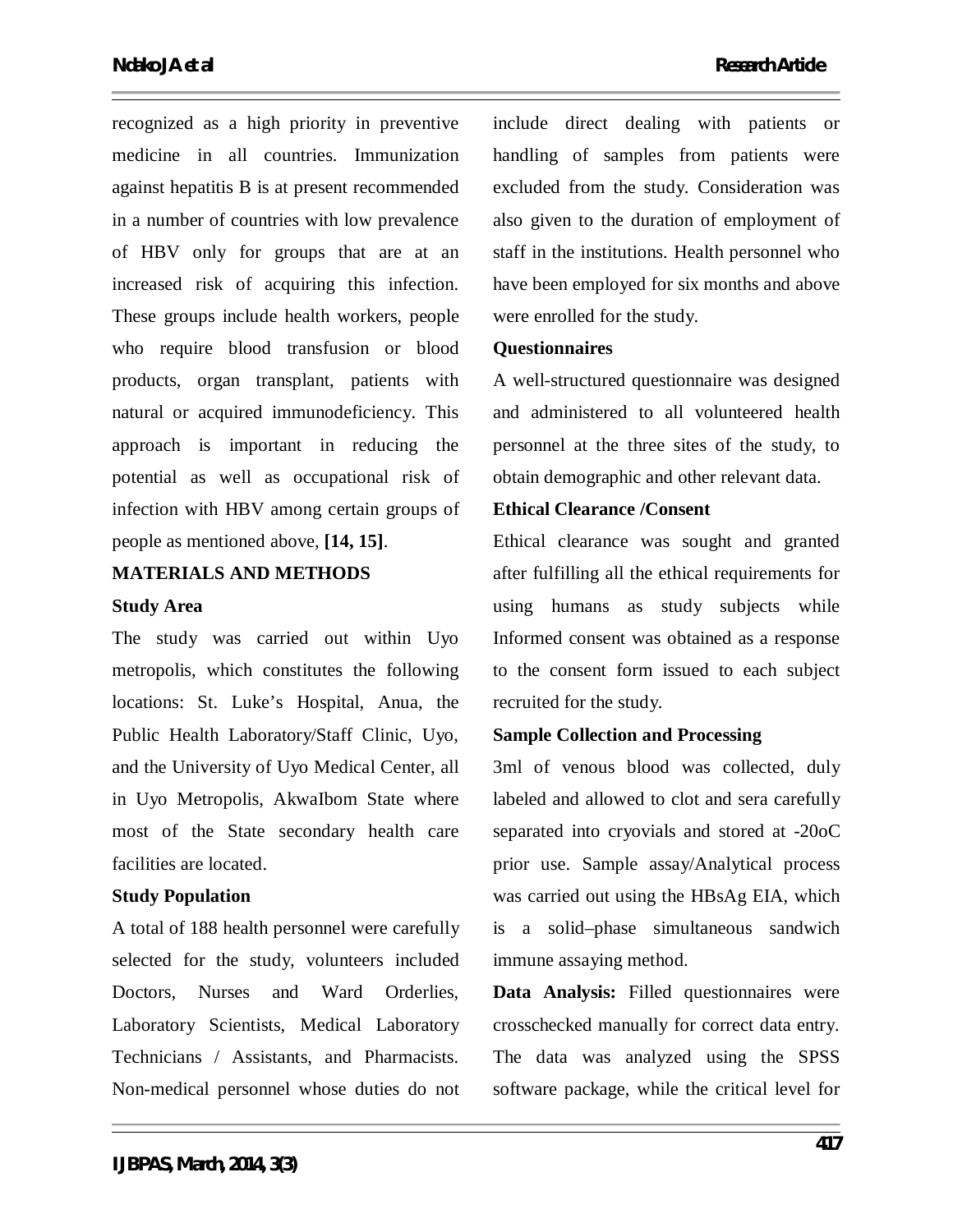recognized as a high priority in preventive medicine in all countries. Immunization against hepatitis B is at present recommended in a number of countries with low prevalence of HBV only for groups that are at an increased risk of acquiring this infection. These groups include health workers, people who require blood transfusion or blood products, organ transplant, patients with natural or acquired immunodeficiency. This approach is important in reducing the potential as well as occupational risk of infection with HBV among certain groups of people as mentioned above, **[14, 15]**.

### **MATERIALS AND METHODS**

#### **Study Area**

The study was carried out within Uyo metropolis, which constitutes the following locations: St. Luke's Hospital, Anua, the Public Health Laboratory/Staff Clinic, Uyo, and the University of Uyo Medical Center, all in Uyo Metropolis, AkwaIbom State where most of the State secondary health care facilities are located.

### **Study Population**

A total of 188 health personnel were carefully selected for the study, volunteers included Doctors, Nurses and Ward Orderlies, Laboratory Scientists, Medical Laboratory Technicians / Assistants, and Pharmacists. Non-medical personnel whose duties do not

include direct dealing with patients or handling of samples from patients were excluded from the study. Consideration was also given to the duration of employment of staff in the institutions. Health personnel who have been employed for six months and above were enrolled for the study.

#### **Questionnaires**

A well-structured questionnaire was designed and administered to all volunteered health personnel at the three sites of the study, to obtain demographic and other relevant data.

#### **Ethical Clearance /Consent**

Ethical clearance was sought and granted after fulfilling all the ethical requirements for using humans as study subjects while Informed consent was obtained as a response to the consent form issued to each subject recruited for the study.

### **Sample Collection and Processing**

3ml of venous blood was collected, duly labeled and allowed to clot and sera carefully separated into cryovials and stored at -20oC prior use. Sample assay/Analytical process was carried out using the HBsAg EIA, which is a solid–phase simultaneous sandwich immune assaying method.

**Data Analysis:** Filled questionnaires were crosschecked manually for correct data entry. The data was analyzed using the SPSS software package, while the critical level for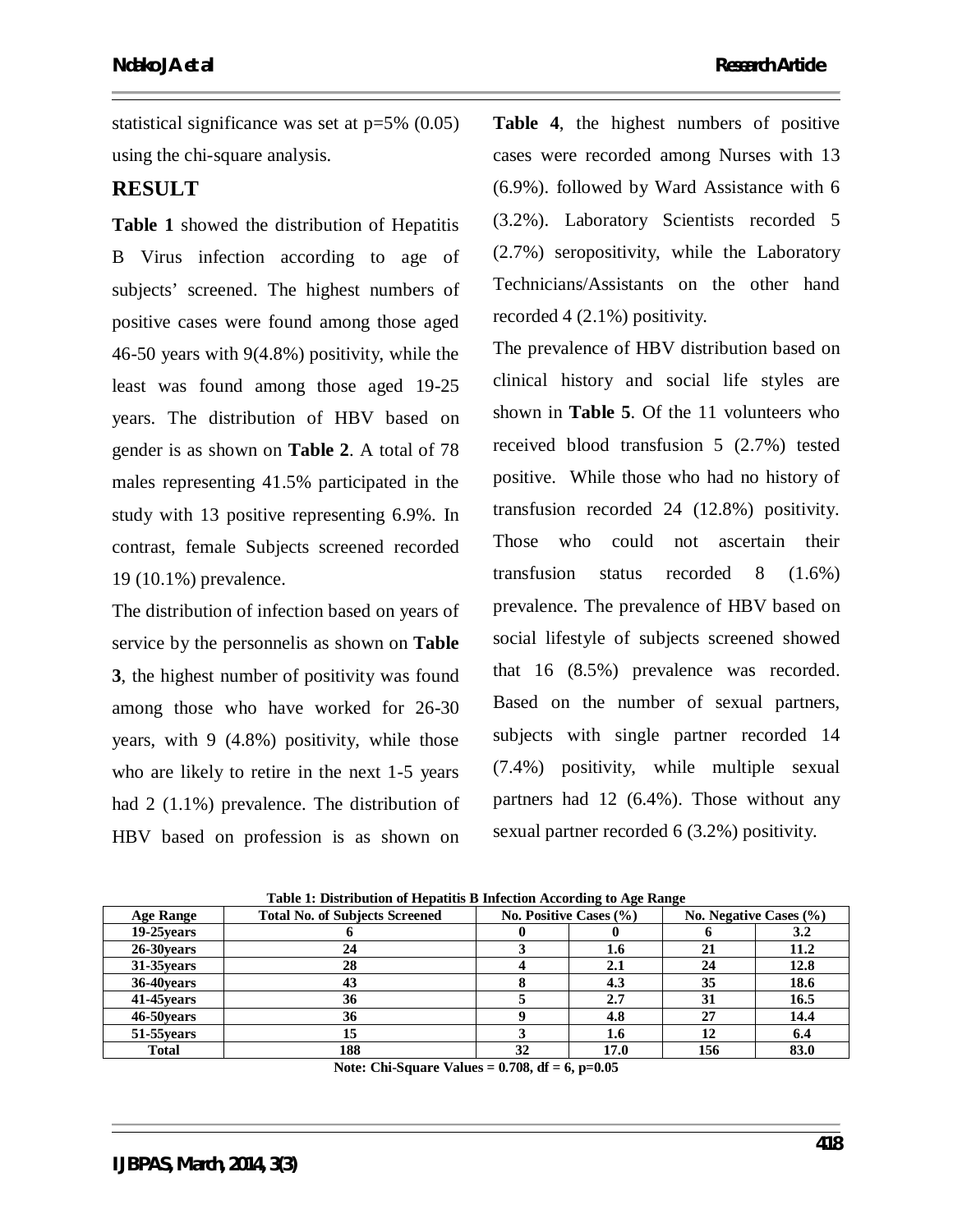statistical significance was set at  $p=5\%$  (0.05) using the chi-square analysis.

### **RESULT**

**Table 1** showed the distribution of Hepatitis B Virus infection according to age of subjects' screened. The highest numbers of positive cases were found among those aged 46-50 years with 9(4.8%) positivity, while the least was found among those aged 19-25 years. The distribution of HBV based on gender is as shown on **Table 2**. A total of 78 males representing 41.5% participated in the study with 13 positive representing 6.9%. In contrast, female Subjects screened recorded 19 (10.1%) prevalence.

The distribution of infection based on years of service by the personnelis as shown on **Table 3**, the highest number of positivity was found among those who have worked for 26-30 years, with 9 (4.8%) positivity, while those who are likely to retire in the next 1-5 years had 2 (1.1%) prevalence. The distribution of HBV based on profession is as shown on

**Table 4**, the highest numbers of positive cases were recorded among Nurses with 13 (6.9%). followed by Ward Assistance with 6 (3.2%). Laboratory Scientists recorded 5 (2.7%) seropositivity, while the Laboratory Technicians/Assistants on the other hand recorded 4 (2.1%) positivity.

The prevalence of HBV distribution based on clinical history and social life styles are shown in **Table 5**. Of the 11 volunteers who received blood transfusion 5 (2.7%) tested positive. While those who had no history of transfusion recorded 24 (12.8%) positivity. Those who could not ascertain their transfusion status recorded 8 (1.6%) prevalence. The prevalence of HBV based on social lifestyle of subjects screened showed that 16 (8.5%) prevalence was recorded. Based on the number of sexual partners, subjects with single partner recorded 14 (7.4%) positivity, while multiple sexual partners had 12 (6.4%). Those without any sexual partner recorded 6 (3.2%) positivity.

| <b>Age Range</b>   | <b>Total No. of Subjects Screened</b> | No. Positive Cases $(\% )$ |      | No. Negative Cases $(\% )$ |      |
|--------------------|---------------------------------------|----------------------------|------|----------------------------|------|
| $19-25$ vears      |                                       |                            |      |                            | 3.2  |
| 26-30 years        |                                       |                            | 1.6  | 21                         | 11.2 |
| $31-35$ vears      | 28                                    |                            | 2.1  | 24                         | 12.8 |
| <b>36-40 years</b> | 43                                    |                            | 4.3  | 35                         | 18.6 |
| 41-45 vears        | 36                                    |                            | 2.7  |                            | 16.5 |
| 46-50 vears        | 36                                    |                            | 4.8  | 27                         | 14.4 |
| 51-55 years        | 15                                    |                            | 1.6  | 12                         | 6.4  |
| Total              | 188                                   | 32                         | 17.0 | 156                        | 83.0 |

**Table 1: Distribution of Hepatitis B Infection According to Age Range**

**Note: Chi-Square Values = 0.708, df = 6, p=0.05**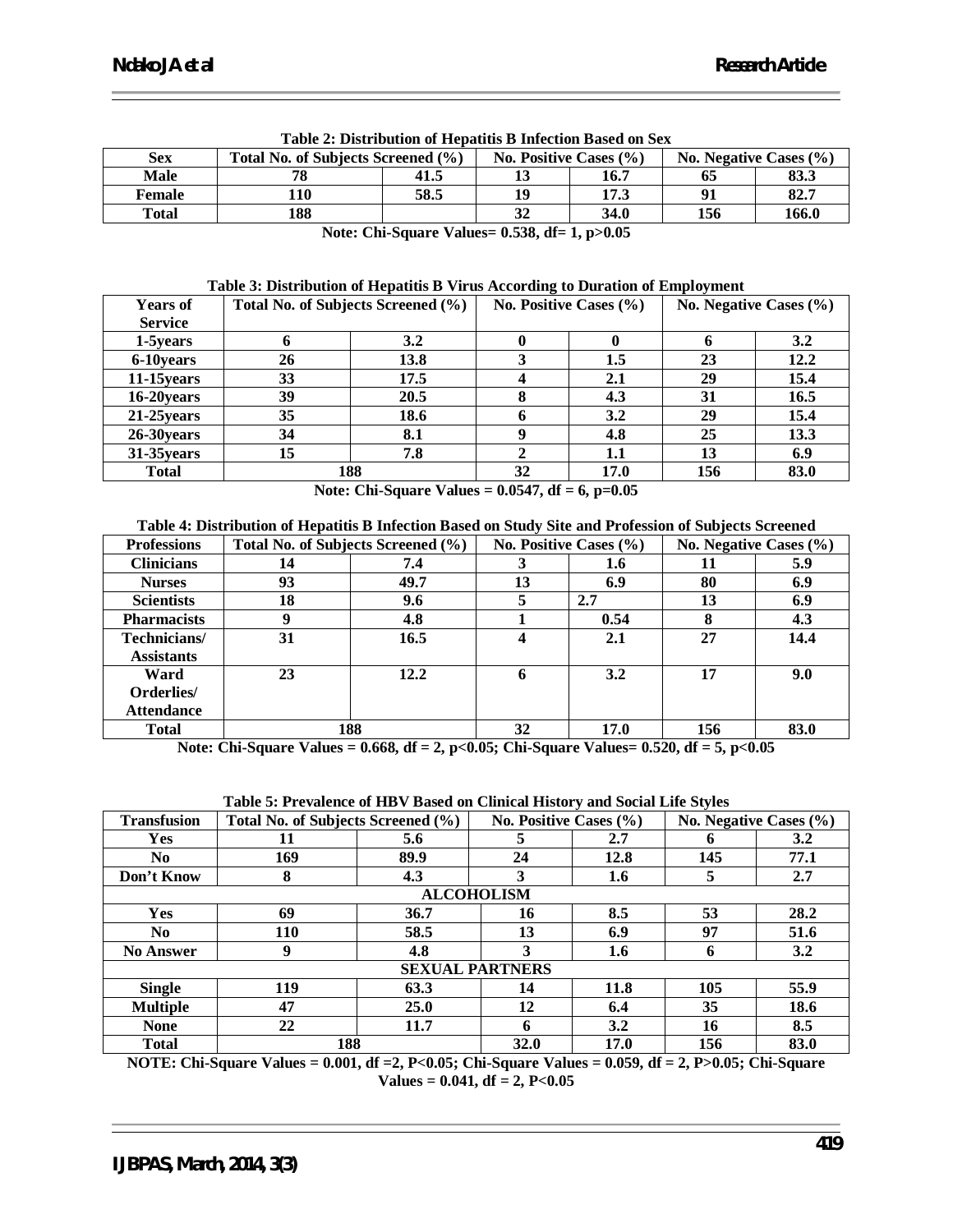| <b>Sex</b>   | Total No. of Subjects Screened (%) |      | No. Positive Cases $(\% )$ |      | No. Negative Cases $(\% )$ |       |  |
|--------------|------------------------------------|------|----------------------------|------|----------------------------|-------|--|
| <b>Male</b>  |                                    | 41.5 |                            | 16.7 |                            | 83.3  |  |
| Female       | <b>10</b>                          | 58.5 | 19                         | 17.3 |                            | 82.7  |  |
| <b>Total</b> | 188                                |      | 32                         | 34.0 | 156                        | 166.0 |  |

|  | Table 2: Distribution of Hepatitis B Infection Based on Sex |  |  |
|--|-------------------------------------------------------------|--|--|
|--|-------------------------------------------------------------|--|--|

**Note: Chi-Square Values= 0.538, df= 1, p>0.05**

#### **Table 3: Distribution of Hepatitis B Virus According to Duration of Employment**

| <b>Years of</b> | Total No. of Subjects Screened (%) |      | No. Positive Cases (%) |      | No. Negative Cases (%) |      |
|-----------------|------------------------------------|------|------------------------|------|------------------------|------|
| <b>Service</b>  |                                    |      |                        |      |                        |      |
| 1-5years        | n                                  | 3.2  |                        |      |                        | 3.2  |
| 6-10 years      | 26                                 | 13.8 |                        | 1.5  | 23                     | 12.2 |
| $11-15$ years   | 33                                 | 17.5 |                        | 2.1  | 29                     | 15.4 |
| 16-20years      | 39                                 | 20.5 |                        | 4.3  | 31                     | 16.5 |
| 21-25 years     | 35                                 | 18.6 |                        | 3.2  | 29                     | 15.4 |
| 26-30 years     | 34                                 | 8.1  |                        | 4.8  | 25                     | 13.3 |
| 31-35years      | 15                                 | 7.8  |                        | 1.1  | 13                     | 6.9  |
| <b>Total</b>    | 188                                |      | 32                     | 17.0 | 156                    | 83.0 |

**Note: Chi-Square Values = 0.0547, df = 6, p=0.05**

#### **Table 4: Distribution of Hepatitis B Infection Based on Study Site and Profession of Subjects Screened**

| <b>Professions</b> |    | Total No. of Subjects Screened (%) | No. Positive Cases $(\% )$ |      | No. Negative Cases $(\% )$ |      |
|--------------------|----|------------------------------------|----------------------------|------|----------------------------|------|
| <b>Clinicians</b>  | 14 | 7.4                                |                            | 1.6  | 11                         | 5.9  |
| <b>Nurses</b>      | 93 | 49.7                               | 13                         | 6.9  | 80                         | 6.9  |
| <b>Scientists</b>  | 18 | 9.6                                |                            | 2.7  | 13                         | 6.9  |
| <b>Pharmacists</b> |    | 4.8                                |                            | 0.54 | 8                          | 4.3  |
| Technicians/       | 31 | 16.5                               |                            | 2.1  | 27                         | 14.4 |
| <b>Assistants</b>  |    |                                    |                            |      |                            |      |
| Ward               | 23 | 12.2                               | o                          | 3.2  | 17                         | 9.0  |
| Orderlies/         |    |                                    |                            |      |                            |      |
| <b>Attendance</b>  |    |                                    |                            |      |                            |      |
| <b>Total</b>       |    | 188                                | 32                         | 17.0 | 156                        | 83.0 |

**Note: Chi-Square Values = 0.668, df = 2, p<0.05; Chi-Square Values= 0.520, df = 5, p<0.05**

| <b>Transfusion</b>     |                   | Total No. of Subjects Screened (%)<br>No. Positive Cases (%) |      |      |     | No. Negative Cases (%) |  |  |
|------------------------|-------------------|--------------------------------------------------------------|------|------|-----|------------------------|--|--|
| <b>Yes</b>             | 11                | 5.6                                                          | 5.   | 2.7  | o   | 3.2                    |  |  |
| No.                    | 169               | 89.9                                                         | 24   | 12.8 | 145 | 77.1                   |  |  |
| Don't Know             | 8                 | 4.3                                                          | 3    | 1.6  | 5   | 2.7                    |  |  |
|                        | <b>ALCOHOLISM</b> |                                                              |      |      |     |                        |  |  |
| <b>Yes</b>             | 69                | 36.7                                                         | 16   | 8.5  | 53  | 28.2                   |  |  |
| N <sub>0</sub>         | 110               | 58.5                                                         | 13   | 6.9  | 97  | 51.6                   |  |  |
| <b>No Answer</b>       | 9                 | 4.8                                                          | 3    | 1.6  | 6   | 3.2                    |  |  |
| <b>SEXUAL PARTNERS</b> |                   |                                                              |      |      |     |                        |  |  |
| <b>Single</b>          | 119               | 63.3                                                         | 14   | 11.8 | 105 | 55.9                   |  |  |
| <b>Multiple</b>        | 47                | 25.0                                                         | 12   | 6.4  | 35  | 18.6                   |  |  |
| <b>None</b>            | 22                | 11.7                                                         | 6    | 3.2  | 16  | 8.5                    |  |  |
| <b>Total</b>           | 188               |                                                              | 32.0 | 17.0 | 156 | 83.0                   |  |  |

| Table 5: Prevalence of HBV Based on Clinical History and Social Life Styles |  |
|-----------------------------------------------------------------------------|--|
|                                                                             |  |

**NOTE: Chi-Square Values = 0.001, df =2, P<0.05; Chi-Square Values = 0.059, df = 2, P>0.05; Chi-Square**   $Values = 0.041, df = 2, P < 0.05$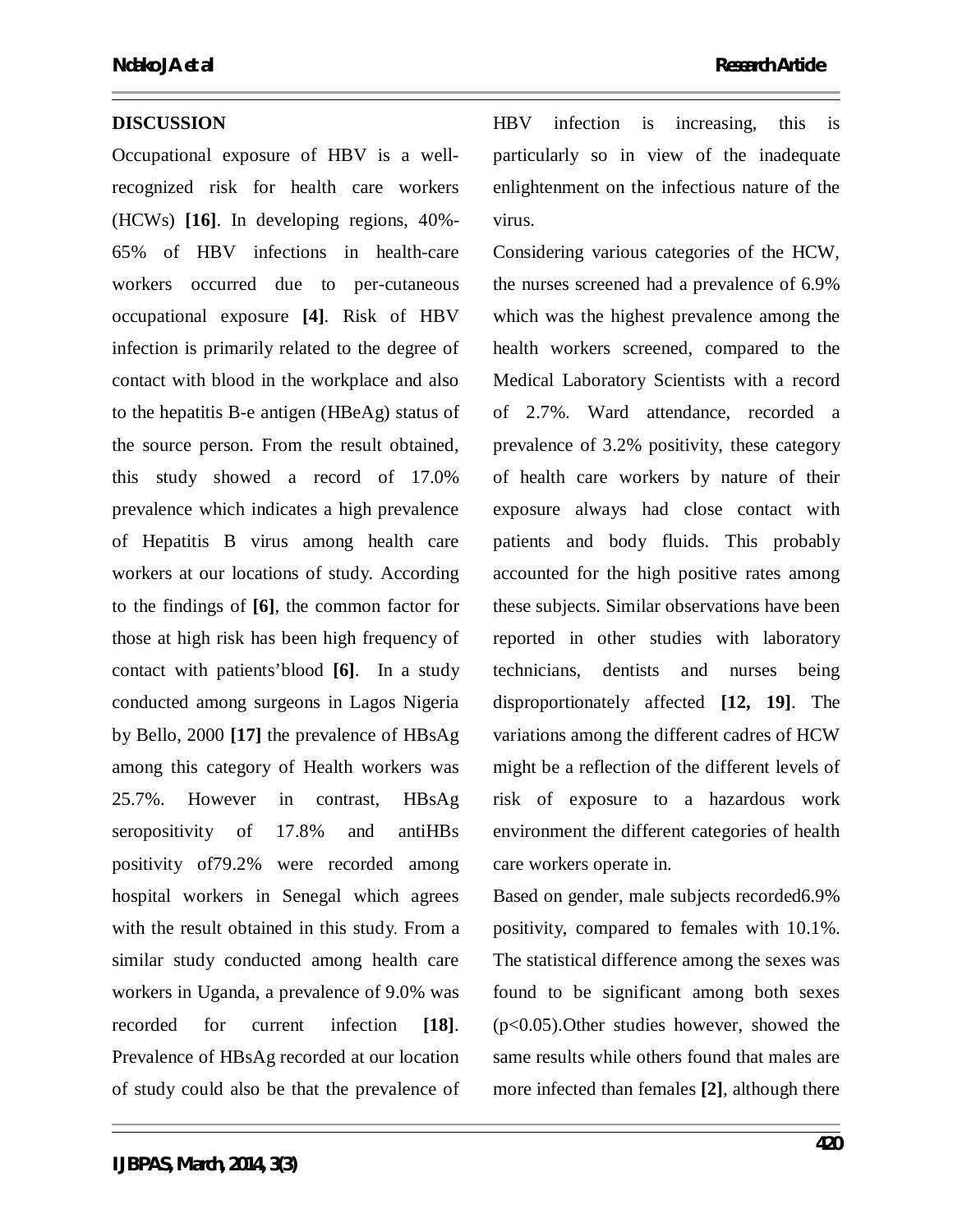### **DISCUSSION**

Occupational exposure of HBV is a wellrecognized risk for health care workers (HCWs) **[16]**. In developing regions, 40%- 65% of HBV infections in health-care workers occurred due to per-cutaneous occupational exposure **[4]**. Risk of HBV infection is primarily related to the degree of contact with blood in the workplace and also to the hepatitis B-e antigen (HBeAg) status of the source person. From the result obtained, this study showed a record of 17.0% prevalence which indicates a high prevalence of Hepatitis B virus among health care workers at our locations of study. According to the findings of **[6]**, the common factor for those at high risk has been high frequency of contact with patients'blood **[6]**. In a study conducted among surgeons in Lagos Nigeria by Bello, 2000 **[17]** the prevalence of HBsAg among this category of Health workers was 25.7%. However in contrast, HBsAg seropositivity of 17.8% and antiHBs positivity of79.2% were recorded among hospital workers in Senegal which agrees with the result obtained in this study. From a similar study conducted among health care workers in Uganda, a prevalence of 9.0% was recorded for current infection **[18]**. Prevalence of HBsAg recorded at our location of study could also be that the prevalence of

HBV infection is increasing, this is particularly so in view of the inadequate enlightenment on the infectious nature of the virus.

Considering various categories of the HCW, the nurses screened had a prevalence of 6.9% which was the highest prevalence among the health workers screened, compared to the Medical Laboratory Scientists with a record of 2.7%. Ward attendance, recorded a prevalence of 3.2% positivity, these category of health care workers by nature of their exposure always had close contact with patients and body fluids. This probably accounted for the high positive rates among these subjects. Similar observations have been reported in other studies with laboratory technicians, dentists and nurses being disproportionately affected **[12, 19]**. The variations among the different cadres of HCW might be a reflection of the different levels of risk of exposure to a hazardous work environment the different categories of health care workers operate in.

Based on gender, male subjects recorded6.9% positivity, compared to females with 10.1%. The statistical difference among the sexes was found to be significant among both sexes (p<0.05).Other studies however, showed the same results while others found that males are more infected than females **[2]**, although there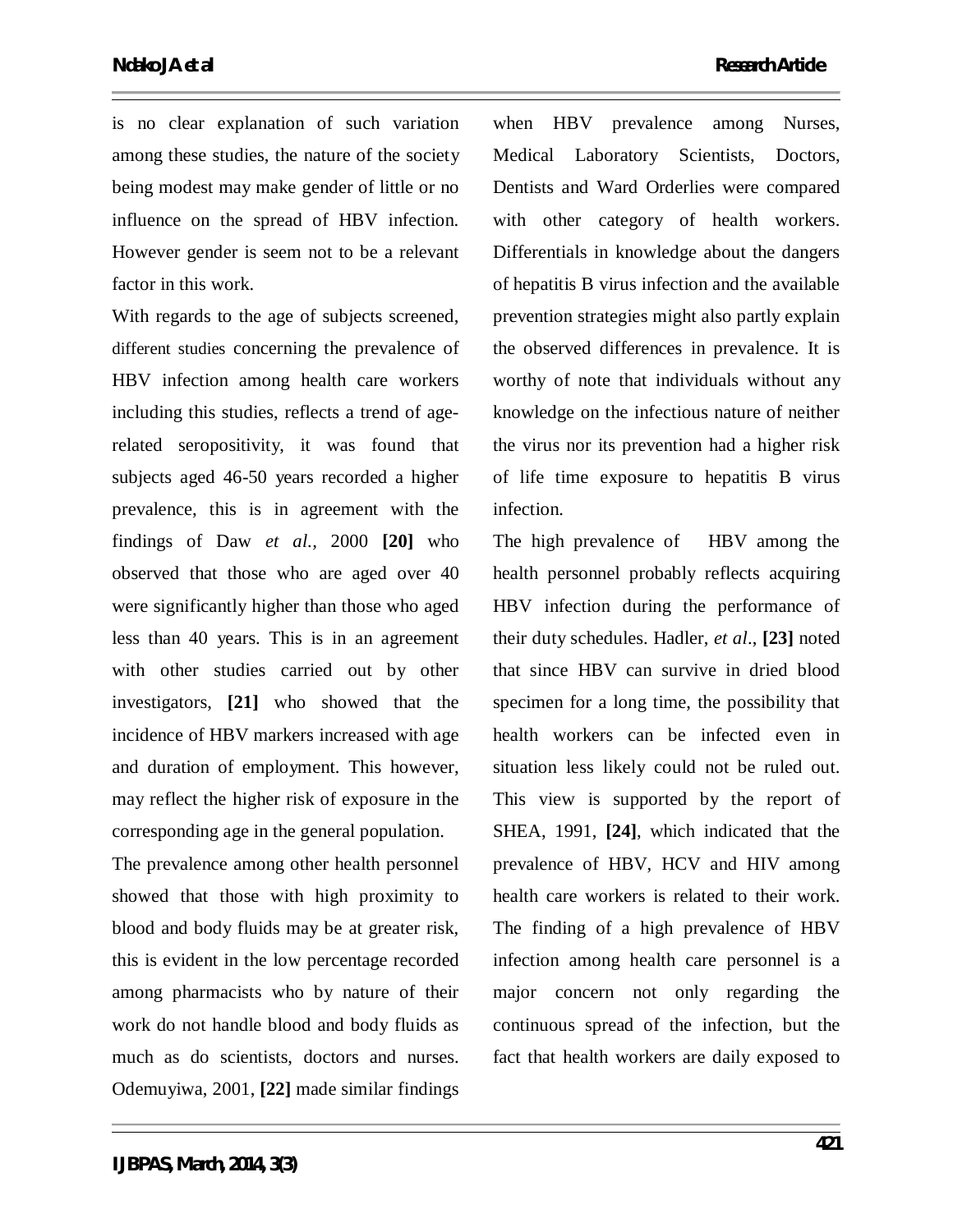is no clear explanation of such variation among these studies, the nature of the society being modest may make gender of little or no influence on the spread of HBV infection. However gender is seem not to be a relevant factor in this work.

With regards to the age of subjects screened, different studies concerning the prevalence of HBV infection among health care workers including this studies, reflects a trend of agerelated seropositivity, it was found that subjects aged 46-50 years recorded a higher prevalence, this is in agreement with the findings of Daw *et al.,* 2000 **[20]** who observed that those who are aged over 40 were significantly higher than those who aged less than 40 years. This is in an agreement with other studies carried out by other investigators, **[21]** who showed that the incidence of HBV markers increased with age and duration of employment. This however, may reflect the higher risk of exposure in the corresponding age in the general population.

The prevalence among other health personnel showed that those with high proximity to blood and body fluids may be at greater risk, this is evident in the low percentage recorded among pharmacists who by nature of their work do not handle blood and body fluids as much as do scientists, doctors and nurses. Odemuyiwa, 2001, **[22]** made similar findings when HBV prevalence among Nurses, Medical Laboratory Scientists, Doctors, Dentists and Ward Orderlies were compared with other category of health workers. Differentials in knowledge about the dangers of hepatitis B virus infection and the available prevention strategies might also partly explain the observed differences in prevalence. It is worthy of note that individuals without any knowledge on the infectious nature of neither the virus nor its prevention had a higher risk of life time exposure to hepatitis B virus infection.

The high prevalence of HBV among the health personnel probably reflects acquiring HBV infection during the performance of their duty schedules. Hadler, *et al*., **[23]** noted that since HBV can survive in dried blood specimen for a long time, the possibility that health workers can be infected even in situation less likely could not be ruled out. This view is supported by the report of SHEA, 1991, **[24]**, which indicated that the prevalence of HBV, HCV and HIV among health care workers is related to their work. The finding of a high prevalence of HBV infection among health care personnel is a major concern not only regarding the continuous spread of the infection, but the fact that health workers are daily exposed to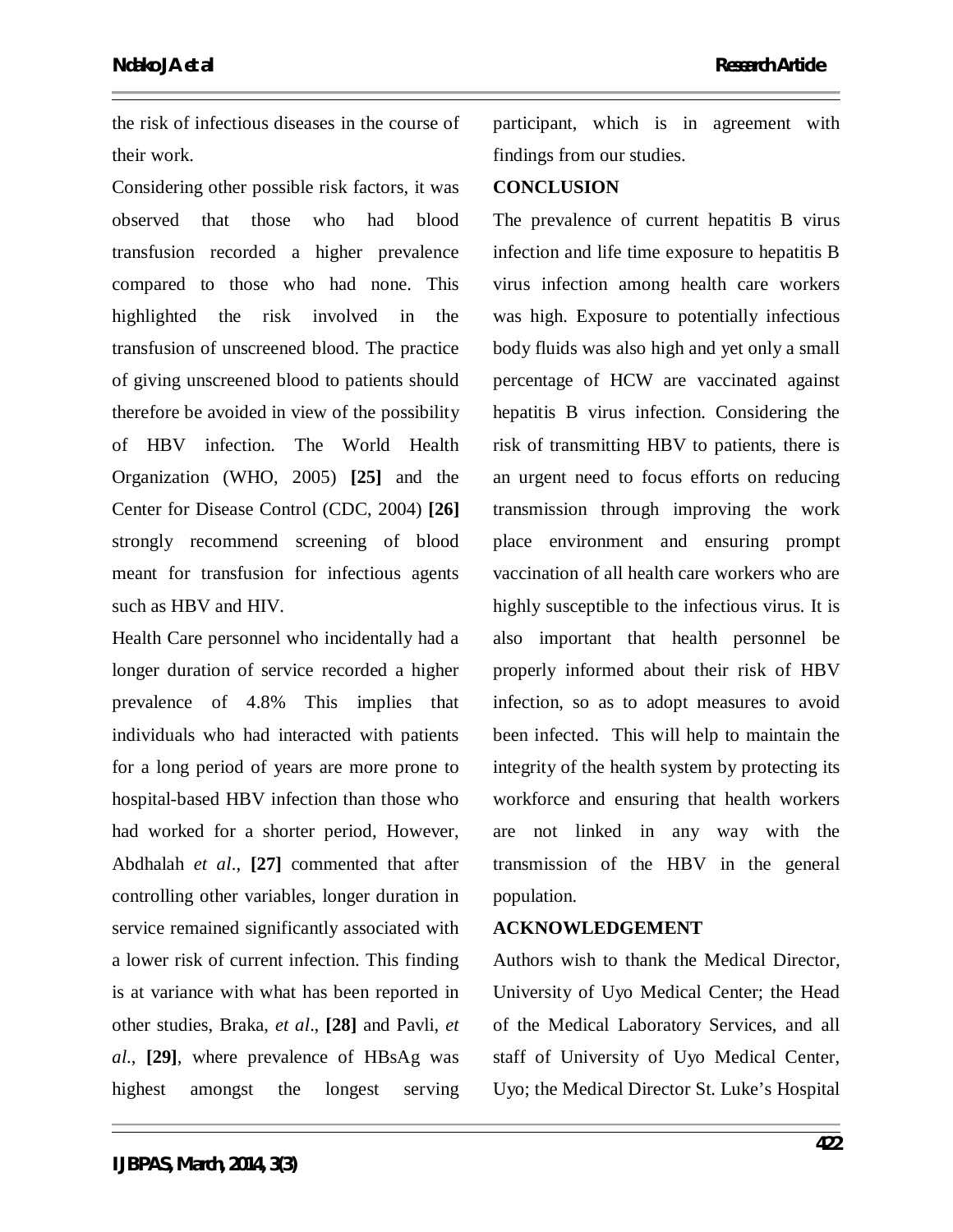the risk of infectious diseases in the course of their work.

Considering other possible risk factors, it was observed that those who had blood transfusion recorded a higher prevalence compared to those who had none. This highlighted the risk involved in the transfusion of unscreened blood. The practice of giving unscreened blood to patients should therefore be avoided in view of the possibility of HBV infection. The World Health Organization (WHO, 2005) **[25]** and the Center for Disease Control (CDC, 2004) **[26]** strongly recommend screening of blood meant for transfusion for infectious agents such as HBV and HIV.

Health Care personnel who incidentally had a longer duration of service recorded a higher prevalence of 4.8% This implies that individuals who had interacted with patients for a long period of years are more prone to hospital-based HBV infection than those who had worked for a shorter period, However, Abdhalah *et al*., **[27]** commented that after controlling other variables, longer duration in service remained significantly associated with a lower risk of current infection. This finding is at variance with what has been reported in other studies, Braka, *et al*., **[28]** and Pavli, *et al*., **[29]**, where prevalence of HBsAg was highest amongst the longest serving

participant, which is in agreement with findings from our studies.

#### **CONCLUSION**

The prevalence of current hepatitis B virus infection and life time exposure to hepatitis B virus infection among health care workers was high. Exposure to potentially infectious body fluids was also high and yet only a small percentage of HCW are vaccinated against hepatitis B virus infection. Considering the risk of transmitting HBV to patients, there is an urgent need to focus efforts on reducing transmission through improving the work place environment and ensuring prompt vaccination of all health care workers who are highly susceptible to the infectious virus. It is also important that health personnel be properly informed about their risk of HBV infection, so as to adopt measures to avoid been infected. This will help to maintain the integrity of the health system by protecting its workforce and ensuring that health workers are not linked in any way with the transmission of the HBV in the general population.

#### **ACKNOWLEDGEMENT**

Authors wish to thank the Medical Director, University of Uyo Medical Center; the Head of the Medical Laboratory Services, and all staff of University of Uyo Medical Center, Uyo; the Medical Director St. Luke's Hospital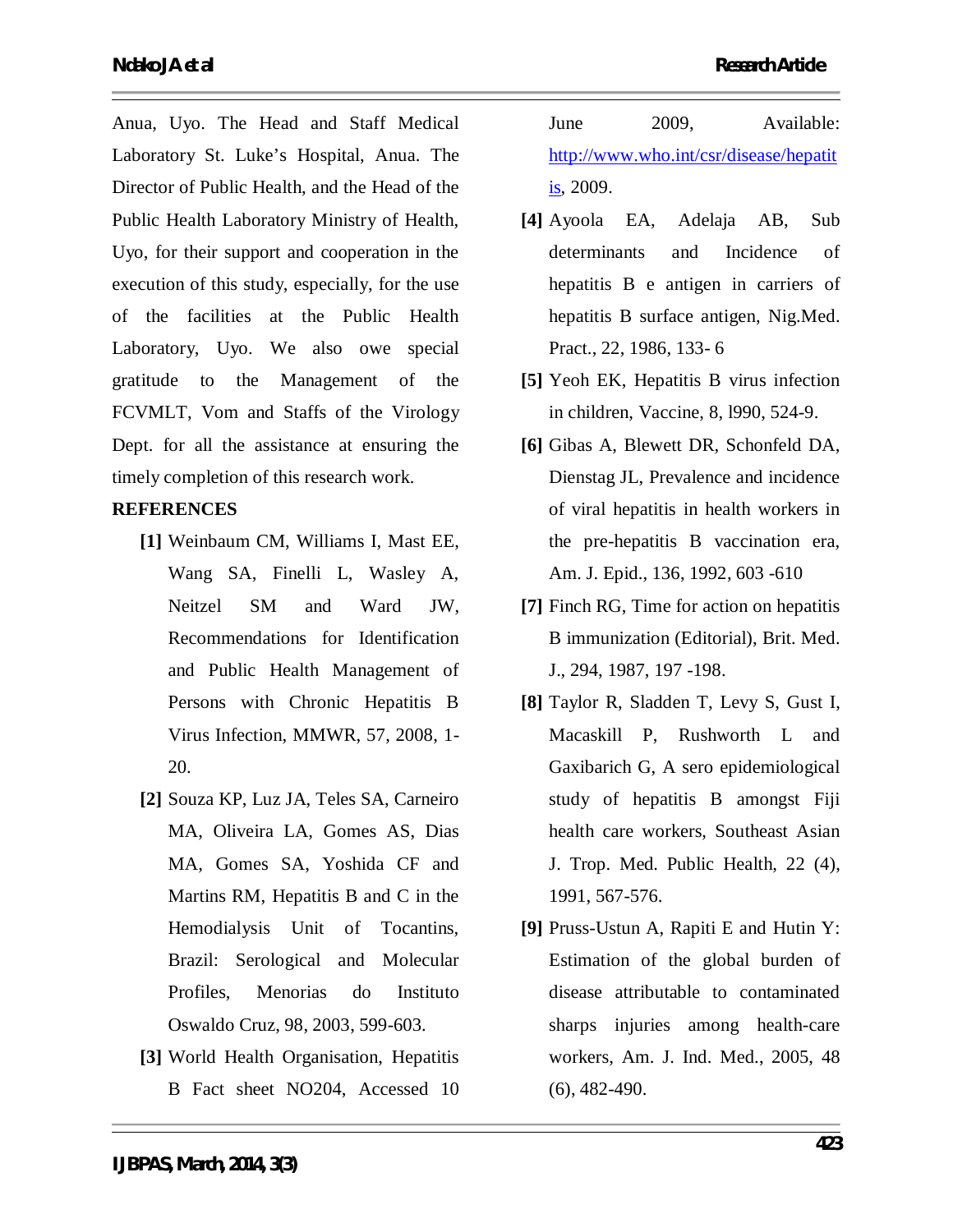Anua, Uyo. The Head and Staff Medical Laboratory St. Luke's Hospital, Anua. The Director of Public Health, and the Head of the Public Health Laboratory Ministry of Health, Uyo, for their support and cooperation in the execution of this study, especially, for the use of the facilities at the Public Health Laboratory, Uyo. We also owe special gratitude to the Management of the FCVMLT, Vom and Staffs of the Virology Dept. for all the assistance at ensuring the

timely completion of this research work.

#### **REFERENCES**

- **[1]** Weinbaum CM, Williams I, Mast EE, Wang SA, Finelli L, Wasley A, Neitzel SM and Ward JW, Recommendations for Identification and Public Health Management of Persons with Chronic Hepatitis B Virus Infection, MMWR, 57, 2008, 1- 20.
- **[2]** Souza KP, Luz JA, Teles SA, Carneiro MA, Oliveira LA, Gomes AS, Dias MA, Gomes SA, Yoshida CF and Martins RM, Hepatitis B and C in the Hemodialysis Unit of Tocantins, Brazil: Serological and Molecular Profiles, Menorias do Instituto Oswaldo Cruz, 98, 2003, 599-603.
- **[3]** World Health Organisation, Hepatitis B Fact sheet NO204, Accessed 10

June 2009, Available: http://www.who.int/csr/disease/hepatit is, 2009.

- **[4]** Ayoola EA, Adelaja AB, Sub determinants and Incidence of hepatitis B e antigen in carriers of hepatitis B surface antigen, Nig.Med. Pract., 22, 1986, 133- 6
- **[5]** Yeoh EK, Hepatitis B virus infection in children, Vaccine, 8, l990, 524-9.
- **[6]** Gibas A, Blewett DR, Schonfeld DA, Dienstag JL, Prevalence and incidence of viral hepatitis in health workers in the pre-hepatitis B vaccination era, Am. J. Epid., 136, 1992, 603 -610
- **[7]** Finch RG, Time for action on hepatitis B immunization (Editorial), Brit. Med. J., 294, 1987, 197 -198.
- **[8]** Taylor R, Sladden T, Levy S, Gust I, Macaskill P, Rushworth L and Gaxibarich G, A sero epidemiological study of hepatitis B amongst Fiji health care workers, Southeast Asian J. Trop. Med. Public Health, 22 (4), 1991, 567-576.
- **[9]** Pruss-Ustun A, Rapiti E and Hutin Y: Estimation of the global burden of disease attributable to contaminated sharps injuries among health-care workers, Am. J. Ind. Med., 2005, 48 (6), 482-490.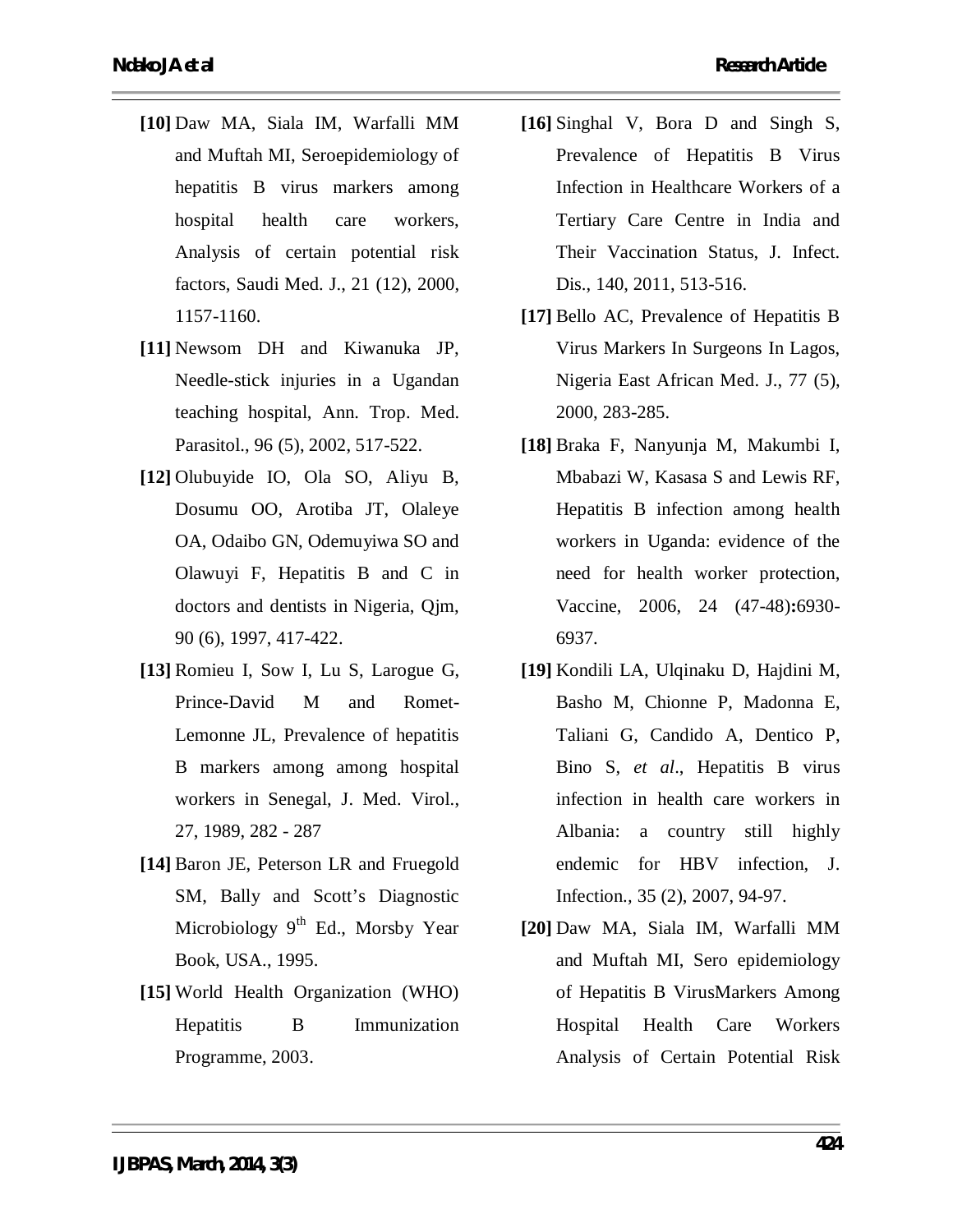- **[10]** Daw MA, Siala IM, Warfalli MM and Muftah MI, Seroepidemiology of hepatitis B virus markers among hospital health care workers, Analysis of certain potential risk factors, Saudi Med. J., 21 (12), 2000, 1157-1160.
- **[11]** Newsom DH and Kiwanuka JP, Needle-stick injuries in a Ugandan teaching hospital, Ann. Trop. Med. Parasitol., 96 (5), 2002, 517-522.
- **[12]** Olubuyide IO, Ola SO, Aliyu B, Dosumu OO, Arotiba JT, Olaleye OA, Odaibo GN, Odemuyiwa SO and Olawuyi F, Hepatitis B and C in doctors and dentists in Nigeria, Qjm, 90 (6), 1997, 417-422.
- **[13]** Romieu I, Sow I, Lu S, Larogue G, Prince-David M and Romet-Lemonne JL, Prevalence of hepatitis B markers among among hospital workers in Senegal, J. Med. Virol., 27, 1989, 282 - 287
- **[14]** Baron JE, Peterson LR and Fruegold SM, Bally and Scott's Diagnostic Microbiology  $9<sup>th</sup>$  Ed., Morsby Year Book, USA., 1995.
- **[15]** World Health Organization (WHO) Hepatitis B Immunization Programme, 2003.
- **[16]** Singhal V, Bora D and Singh S, Prevalence of Hepatitis B Virus Infection in Healthcare Workers of a Tertiary Care Centre in India and Their Vaccination Status, J. Infect. Dis., 140, 2011, 513-516.
- **[17]** Bello AC, Prevalence of Hepatitis B Virus Markers In Surgeons In Lagos, Nigeria East African Med. J., 77 (5), 2000, 283-285.
- **[18]** Braka F, Nanyunja M, Makumbi I, Mbabazi W, Kasasa S and Lewis RF, Hepatitis B infection among health workers in Uganda: evidence of the need for health worker protection, Vaccine, 2006, 24 (47-48)**:**6930- 6937.
- **[19]** Kondili LA, Ulqinaku D, Hajdini M, Basho M, Chionne P, Madonna E, Taliani G, Candido A, Dentico P, Bino S, *et al*., Hepatitis B virus infection in health care workers in Albania: a country still highly endemic for HBV infection, J. Infection.*,* 35 (2), 2007, 94-97.
- **[20]** Daw MA, Siala IM, Warfalli MM and Muftah MI, Sero epidemiology of Hepatitis B VirusMarkers Among Hospital Health Care Workers Analysis of Certain Potential Risk